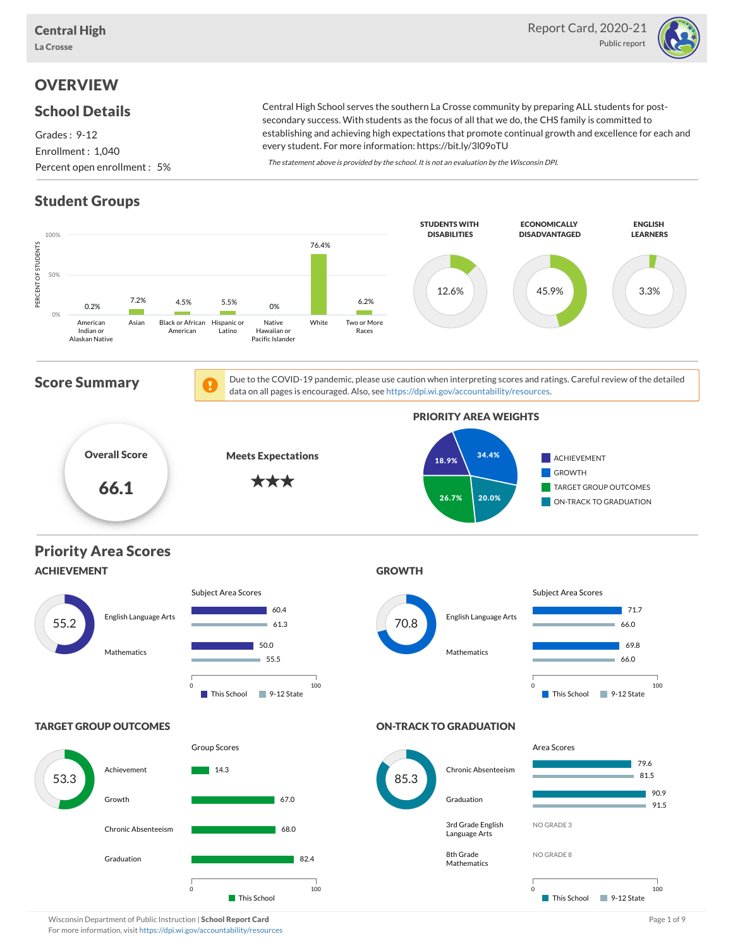

### **OVERVIEW**

#### School Details

Grades : 9-12 Enrollment : 1,040 Percent open enrollment : 5%

Central High School serves the southern La Crosse community by preparing ALL students for postsecondary success. With students as the focus of all that we do, the CHS family is committed to establishing and achieving high expectations that promote continual growth and excellence for each and every student. For more information: https://bit.ly/3l09oTU

The statement above is provided by the school. It is not an evaluation by the Wisconsin DPI.

## Student Groups



Wisconsin Department of Public Instruction | School Report Card Page 1 of 9 and Page 1 of 9 and Page 1 of 9 and Page 1 of 9 and Page 1 of 9 and Page 1 of 9 and Page 1 of 9 and Page 1 of 9 and Page 1 of 9 and Page 1 of 9 an For more information, visit <https://dpi.wi.gov/accountability/resources>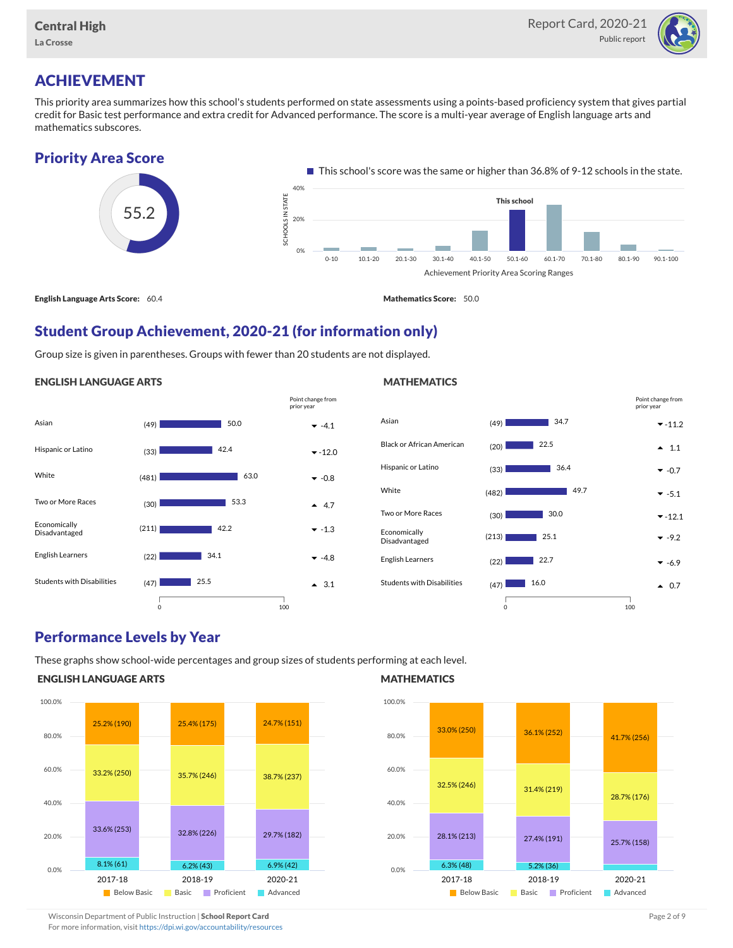

## ACHIEVEMENT

This priority area summarizes how this school's students performed on state assessments using a points-based proficiency system that gives partial credit for Basic test performance and extra credit for Advanced performance. The score is a multi-year average of English language arts and mathematics subscores.

## Priority Area Score



#### Student Group Achievement, 2020-21 (for information only)

Group size is given in parentheses. Groups with fewer than 20 students are not displayed.

#### ENGLISH LANGUAGE ARTS





#### Performance Levels by Year

These graphs show school-wide percentages and group sizes of students performing at each level.

#### ENGLISH LANGUAGE ARTS



#### **MATHEMATICS**



Wisconsin Department of Public Instruction | School Report Card Page 2 of 9 and 2 of 9 and 2 of 9 and 2 of 9 and 2 of 9 and 2 of 9 and 2 of 9 and 2 of 9 and 2 of 9 and 2 of 9 and 2 of 9 and 2 of 9 and 2 of 9 and 2 of 9 and

For more information, visit <https://dpi.wi.gov/accountability/resources>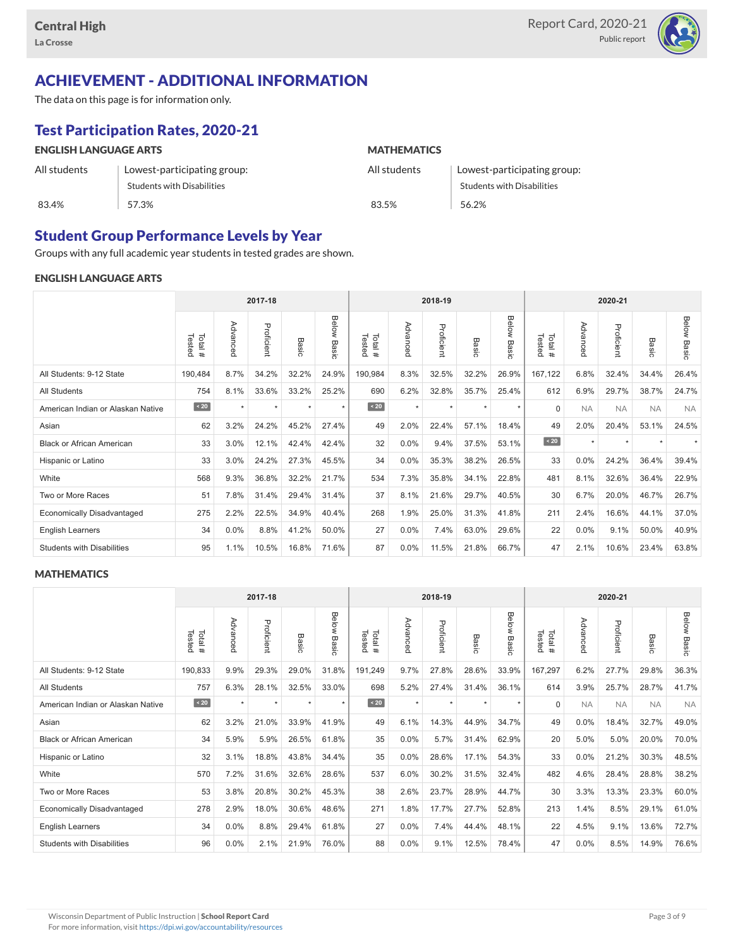

# ACHIEVEMENT - ADDITIONAL INFORMATION

The data on this page is for information only.

# Test Participation Rates, 2020-21

| <b>ENGLISH LANGUAGE ARTS</b> |                             | <b>MATHEMATICS</b> |                                   |  |  |  |  |
|------------------------------|-----------------------------|--------------------|-----------------------------------|--|--|--|--|
| All students                 | Lowest-participating group: | All students       | Lowest-participating group:       |  |  |  |  |
|                              | Students with Disabilities  |                    | <b>Students with Disabilities</b> |  |  |  |  |
| 83.4%                        | 57.3%                       | 83.5%              | 56.2%                             |  |  |  |  |

#### Student Group Performance Levels by Year

Groups with any full academic year students in tested grades are shown.

#### ENGLISH LANGUAGE ARTS

|                                   | 2017-18          |          |            |       |                | 2018-19           |          |            |                 |                | 2020-21          |           |            |           |                    |
|-----------------------------------|------------------|----------|------------|-------|----------------|-------------------|----------|------------|-----------------|----------------|------------------|-----------|------------|-----------|--------------------|
|                                   | Tested<br>Total# | Advanced | Proficient | Basic | Below<br>Basic | Tested<br>Total # | Advanced | Proficient | Basi<br>$\circ$ | Below<br>Basic | Tested<br>Total# | Advanced  | Proficient | Basic     | <b>Below Basic</b> |
| All Students: 9-12 State          | 190,484          | 8.7%     | 34.2%      | 32.2% | 24.9%          | 190,984           | 8.3%     | 32.5%      | 32.2%           | 26.9%          | 167,122          | 6.8%      | 32.4%      | 34.4%     | 26.4%              |
| <b>All Students</b>               | 754              | 8.1%     | 33.6%      | 33.2% | 25.2%          | 690               | 6.2%     | 32.8%      | 35.7%           | 25.4%          | 612              | 6.9%      | 29.7%      | 38.7%     | 24.7%              |
| American Indian or Alaskan Native | $\angle 20$      | $\star$  | $\star$    | ٠     | $\star$        | $\angle 20$       | $\star$  | $\star$    | $\star$         | $\star$        | $\Omega$         | <b>NA</b> | <b>NA</b>  | <b>NA</b> | <b>NA</b>          |
| Asian                             | 62               | 3.2%     | 24.2%      | 45.2% | 27.4%          | 49                | 2.0%     | 22.4%      | 57.1%           | 18.4%          | 49               | 2.0%      | 20.4%      | 53.1%     | 24.5%              |
| <b>Black or African American</b>  | 33               | 3.0%     | 12.1%      | 42.4% | 42.4%          | 32                | 0.0%     | 9.4%       | 37.5%           | 53.1%          | $\angle 20$      | $\star$   | $\star$    |           |                    |
| Hispanic or Latino                | 33               | 3.0%     | 24.2%      | 27.3% | 45.5%          | 34                | 0.0%     | 35.3%      | 38.2%           | 26.5%          | 33               | 0.0%      | 24.2%      | 36.4%     | 39.4%              |
| White                             | 568              | 9.3%     | 36.8%      | 32.2% | 21.7%          | 534               | 7.3%     | 35.8%      | 34.1%           | 22.8%          | 481              | 8.1%      | 32.6%      | 36.4%     | 22.9%              |
| Two or More Races                 | 51               | 7.8%     | 31.4%      | 29.4% | 31.4%          | 37                | 8.1%     | 21.6%      | 29.7%           | 40.5%          | 30               | 6.7%      | 20.0%      | 46.7%     | 26.7%              |
| <b>Economically Disadvantaged</b> | 275              | 2.2%     | 22.5%      | 34.9% | 40.4%          | 268               | 1.9%     | 25.0%      | 31.3%           | 41.8%          | 211              | 2.4%      | 16.6%      | 44.1%     | 37.0%              |
| <b>English Learners</b>           | 34               | 0.0%     | 8.8%       | 41.2% | 50.0%          | 27                | 0.0%     | 7.4%       | 63.0%           | 29.6%          | 22               | 0.0%      | 9.1%       | 50.0%     | 40.9%              |
| <b>Students with Disabilities</b> | 95               | 1.1%     | 10.5%      | 16.8% | 71.6%          | 87                | 0.0%     | 11.5%      | 21.8%           | 66.7%          | 47               | 2.1%      | 10.6%      | 23.4%     | 63.8%              |

#### **MATHEMATICS**

|                                   | 2017-18          |           |            |       | 2018-19        |                  |          |            |           | 2020-21        |                  |           |            |           |                    |
|-----------------------------------|------------------|-----------|------------|-------|----------------|------------------|----------|------------|-----------|----------------|------------------|-----------|------------|-----------|--------------------|
|                                   | Tested<br>Total# | Advanced  | Proficient | Basic | Below<br>Basic | Tested<br>Total# | Advanced | Proficient | Basic     | Below<br>Basic | Tested<br>Total# | Advanced  | Proficient | Basic     | <b>Below Basic</b> |
| All Students: 9-12 State          | 190,833          | 9.9%      | 29.3%      | 29.0% | 31.8%          | 191,249          | 9.7%     | 27.8%      | 28.6%     | 33.9%          | 167,297          | 6.2%      | 27.7%      | 29.8%     | 36.3%              |
| <b>All Students</b>               | 757              | 6.3%      | 28.1%      | 32.5% | 33.0%          | 698              | 5.2%     | 27.4%      | 31.4%     | 36.1%          | 614              | 3.9%      | 25.7%      | 28.7%     | 41.7%              |
| American Indian or Alaskan Native | $\angle 20$      | $\ddot{}$ | $\star$    | ٠     | $\star$        | $\sim 20$        | $\star$  | $\star$    | $\ddot{}$ | $\star$        | $\Omega$         | <b>NA</b> | <b>NA</b>  | <b>NA</b> | <b>NA</b>          |
| Asian                             | 62               | 3.2%      | 21.0%      | 33.9% | 41.9%          | 49               | 6.1%     | 14.3%      | 44.9%     | 34.7%          | 49               | 0.0%      | 18.4%      | 32.7%     | 49.0%              |
| <b>Black or African American</b>  | 34               | 5.9%      | 5.9%       | 26.5% | 61.8%          | 35               | 0.0%     | 5.7%       | 31.4%     | 62.9%          | 20               | 5.0%      | 5.0%       | 20.0%     | 70.0%              |
| Hispanic or Latino                | 32               | 3.1%      | 18.8%      | 43.8% | 34.4%          | 35               | 0.0%     | 28.6%      | 17.1%     | 54.3%          | 33               | 0.0%      | 21.2%      | 30.3%     | 48.5%              |
| White                             | 570              | 7.2%      | 31.6%      | 32.6% | 28.6%          | 537              | 6.0%     | 30.2%      | 31.5%     | 32.4%          | 482              | 4.6%      | 28.4%      | 28.8%     | 38.2%              |
| Two or More Races                 | 53               | 3.8%      | 20.8%      | 30.2% | 45.3%          | 38               | 2.6%     | 23.7%      | 28.9%     | 44.7%          | 30               | 3.3%      | 13.3%      | 23.3%     | 60.0%              |
| <b>Economically Disadvantaged</b> | 278              | 2.9%      | 18.0%      | 30.6% | 48.6%          | 271              | 1.8%     | 17.7%      | 27.7%     | 52.8%          | 213              | 1.4%      | 8.5%       | 29.1%     | 61.0%              |
| English Learners                  | 34               | 0.0%      | 8.8%       | 29.4% | 61.8%          | 27               | 0.0%     | 7.4%       | 44.4%     | 48.1%          | 22               | 4.5%      | 9.1%       | 13.6%     | 72.7%              |
| <b>Students with Disabilities</b> | 96               | 0.0%      | 2.1%       | 21.9% | 76.0%          | 88               | 0.0%     | 9.1%       | 12.5%     | 78.4%          | 47               | 0.0%      | 8.5%       | 14.9%     | 76.6%              |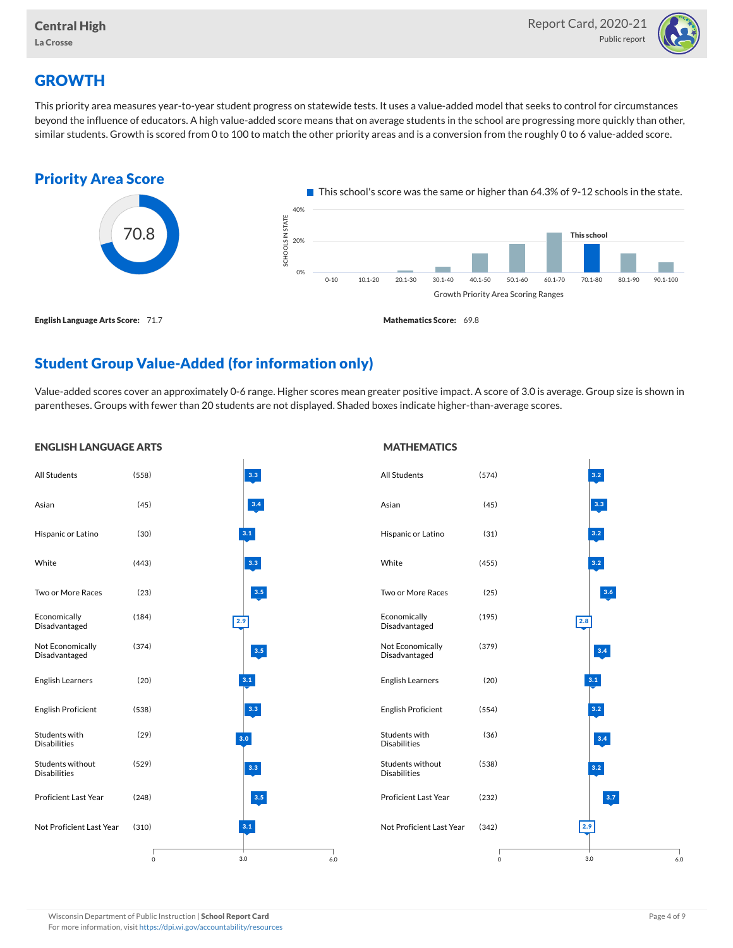

## **GROWTH**

This priority area measures year-to-year student progress on statewide tests. It uses a value-added model that seeks to control for circumstances beyond the influence of educators. A high value-added score means that on average students in the school are progressing more quickly than other, similar students. Growth is scored from 0 to 100 to match the other priority areas and is a conversion from the roughly 0 to 6 value-added score.



### Student Group Value-Added (for information only)

Value-added scores cover an approximately 0-6 range. Higher scores mean greater positive impact. A score of 3.0 is average. Group size is shown in parentheses. Groups with fewer than 20 students are not displayed. Shaded boxes indicate higher-than-average scores.

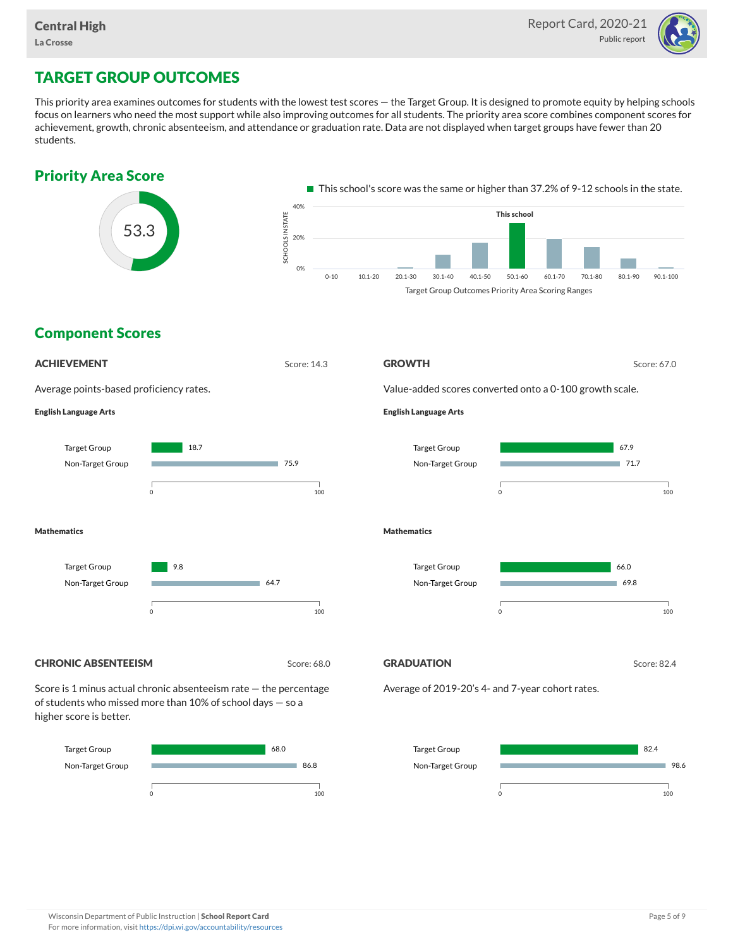

## TARGET GROUP OUTCOMES

This priority area examines outcomes for students with the lowest test scores — the Target Group. It is designed to promote equity by helping schools focus on learners who need the most support while also improving outcomes for all students. The priority area score combines component scores for achievement, growth, chronic absenteeism, and attendance or graduation rate. Data are not displayed when target groups have fewer than 20 students.

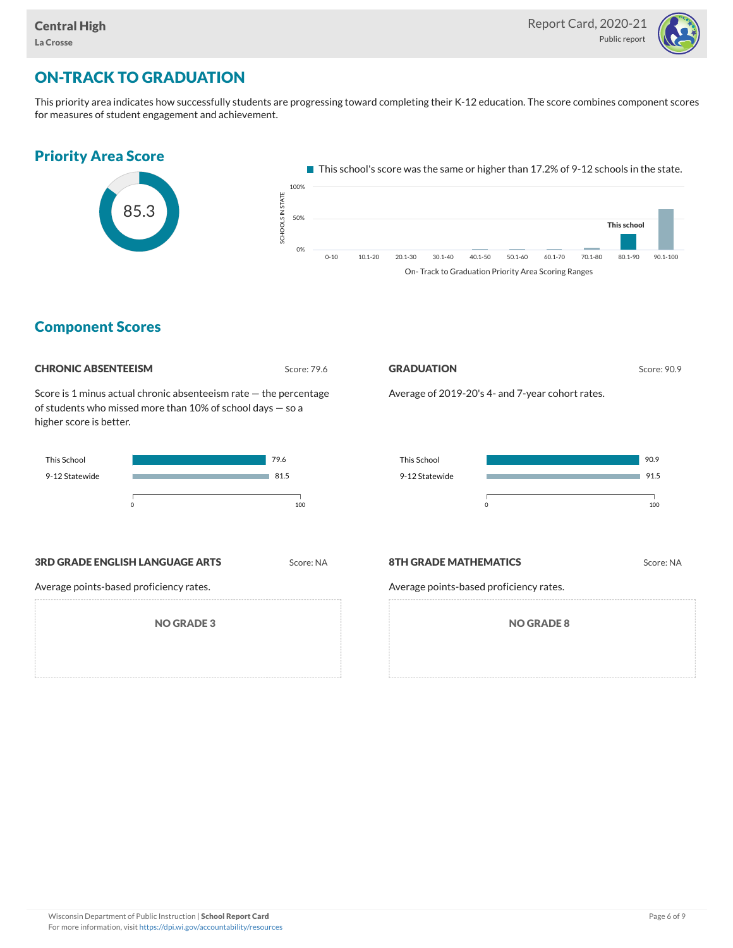

## ON-TRACK TO GRADUATION

This priority area indicates how successfully students are progressing toward completing their K-12 education. The score combines component scores for measures of student engagement and achievement.



#### Component Scores

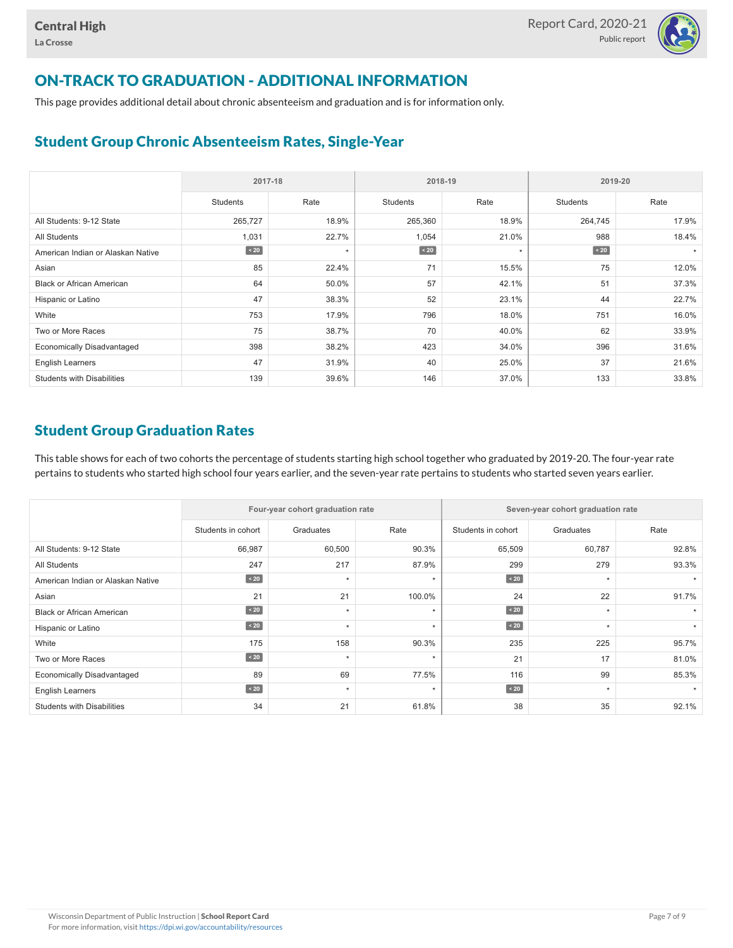

## ON-TRACK TO GRADUATION - ADDITIONAL INFORMATION

This page provides additional detail about chronic absenteeism and graduation and is for information only.

#### Student Group Chronic Absenteeism Rates, Single-Year

|                                   | 2017-18   |         | 2018-19         |         | 2019-20         |       |  |
|-----------------------------------|-----------|---------|-----------------|---------|-----------------|-------|--|
|                                   | Students  | Rate    | <b>Students</b> | Rate    | <b>Students</b> | Rate  |  |
| All Students: 9-12 State          | 265,727   | 18.9%   | 265,360         | 18.9%   | 264,745         | 17.9% |  |
| <b>All Students</b>               | 1,031     | 22.7%   | 1,054           | 21.0%   | 988             | 18.4% |  |
| American Indian or Alaskan Native | $\sim 20$ | $\star$ | $\sim 20$       | $\star$ | $\angle 20$     |       |  |
| Asian                             | 85        | 22.4%   | 71              | 15.5%   | 75              | 12.0% |  |
| <b>Black or African American</b>  | 64        | 50.0%   | 57              | 42.1%   | 51              | 37.3% |  |
| Hispanic or Latino                | 47        | 38.3%   | 52              | 23.1%   | 44              | 22.7% |  |
| White                             | 753       | 17.9%   | 796             | 18.0%   | 751             | 16.0% |  |
| Two or More Races                 | 75        | 38.7%   | 70              | 40.0%   | 62              | 33.9% |  |
| <b>Economically Disadvantaged</b> | 398       | 38.2%   | 423             | 34.0%   | 396             | 31.6% |  |
| <b>English Learners</b>           | 47        | 31.9%   | 40              | 25.0%   | 37              | 21.6% |  |
| <b>Students with Disabilities</b> | 139       | 39.6%   | 146             | 37.0%   | 133             | 33.8% |  |

#### Student Group Graduation Rates

This table shows for each of two cohorts the percentage of students starting high school together who graduated by 2019-20. The four-year rate pertains to students who started high school four years earlier, and the seven-year rate pertains to students who started seven years earlier.

|                                   |                    | Four-year cohort graduation rate |         | Seven-year cohort graduation rate |           |       |  |  |
|-----------------------------------|--------------------|----------------------------------|---------|-----------------------------------|-----------|-------|--|--|
|                                   | Students in cohort | Graduates                        | Rate    | Students in cohort                | Graduates | Rate  |  |  |
| All Students: 9-12 State          | 66,987             | 60,500                           | 90.3%   | 65,509                            | 60,787    | 92.8% |  |  |
| <b>All Students</b>               | 247                | 217                              | 87.9%   | 299                               | 279       | 93.3% |  |  |
| American Indian or Alaskan Native | $\angle 20$        | $\star$                          | $\star$ | $\angle 20$                       | $\star$   |       |  |  |
| Asian                             | 21                 | 21                               | 100.0%  | 24                                | 22        | 91.7% |  |  |
| <b>Black or African American</b>  | $\angle 20$        | $\star$                          | ٠       | $\angle 20$                       | $\star$   |       |  |  |
| Hispanic or Latino                | $\angle 20$        | $\star$                          | $\star$ | $\leq 20$                         | $\star$   |       |  |  |
| White                             | 175                | 158                              | 90.3%   | 235                               | 225       | 95.7% |  |  |
| Two or More Races                 | $\angle 20$        | $\star$                          | $\star$ | 21                                | 17        | 81.0% |  |  |
| <b>Economically Disadvantaged</b> | 89                 | 69                               | 77.5%   | 116                               | 99        | 85.3% |  |  |
| English Learners                  | $\angle 20$        | $\star$                          | $\star$ | $\angle 20$                       | $\star$   |       |  |  |
| <b>Students with Disabilities</b> | 34                 | 21                               | 61.8%   | 38                                | 35        | 92.1% |  |  |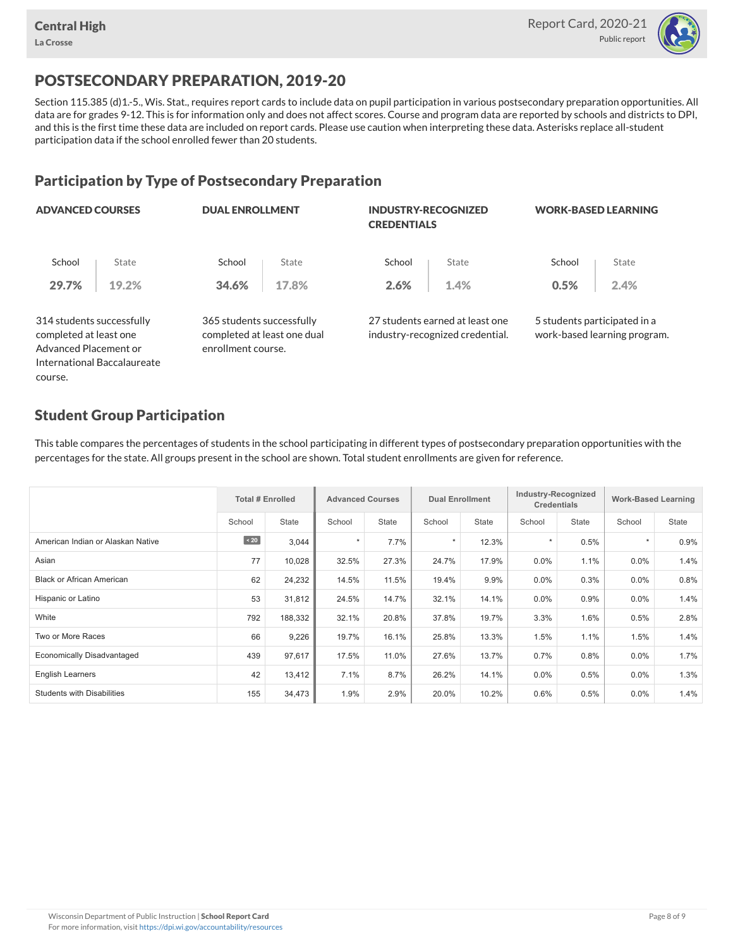

## POSTSECONDARY PREPARATION, 2019-20

Section 115.385 (d)1.-5., Wis. Stat., requires report cards to include data on pupil participation in various postsecondary preparation opportunities. All data are for grades 9-12. This is for information only and does not affect scores. Course and program data are reported by schools and districts to DPI, and this is the first time these data are included on report cards. Please use caution when interpreting these data. Asterisks replace all-student participation data if the school enrolled fewer than 20 students.

#### Participation by Type of Postsecondary Preparation

| <b>ADVANCED COURSES</b>                                                      |                             | <b>DUAL ENROLLMENT</b>                                                         |       | <b>INDUSTRY-RECOGNIZED</b><br><b>CREDENTIALS</b> |                                                                    | <b>WORK-BASED LEARNING</b>   |                              |  |
|------------------------------------------------------------------------------|-----------------------------|--------------------------------------------------------------------------------|-------|--------------------------------------------------|--------------------------------------------------------------------|------------------------------|------------------------------|--|
| School                                                                       | State                       | School                                                                         | State | School                                           | State                                                              | School                       | State                        |  |
| 29.7%                                                                        | 19.2%                       | 34.6%                                                                          | 17.8% | 2.6%                                             | 1.4%                                                               | 0.5%                         | 2.4%                         |  |
| 314 students successfully<br>completed at least one<br>Advanced Placement or |                             | 365 students successfully<br>completed at least one dual<br>enrollment course. |       |                                                  | 27 students earned at least one<br>industry-recognized credential. | 5 students participated in a | work-based learning program. |  |
|                                                                              | International Baccalaureate |                                                                                |       |                                                  |                                                                    |                              |                              |  |

#### Student Group Participation

course.

This table compares the percentages of students in the school participating in different types of postsecondary preparation opportunities with the percentages for the state. All groups present in the school are shown. Total student enrollments are given for reference.

|                                   | <b>Total # Enrolled</b> |              | <b>Advanced Courses</b> |              | <b>Dual Enrollment</b> |              | Industry-Recognized<br><b>Credentials</b> |       | <b>Work-Based Learning</b> |       |
|-----------------------------------|-------------------------|--------------|-------------------------|--------------|------------------------|--------------|-------------------------------------------|-------|----------------------------|-------|
|                                   | School                  | <b>State</b> | School                  | <b>State</b> | School                 | <b>State</b> | School                                    | State | School                     | State |
| American Indian or Alaskan Native | $\sim 20$               | 3,044        | $\star$                 | 7.7%         | $\star$                | 12.3%        |                                           | 0.5%  | $\star$                    | 0.9%  |
| Asian                             | 77                      | 10,028       | 32.5%                   | 27.3%        | 24.7%                  | 17.9%        | 0.0%                                      | 1.1%  | $0.0\%$                    | 1.4%  |
| <b>Black or African American</b>  | 62                      | 24,232       | 14.5%                   | 11.5%        | 19.4%                  | 9.9%         | $0.0\%$                                   | 0.3%  | $0.0\%$                    | 0.8%  |
| Hispanic or Latino                | 53                      | 31,812       | 24.5%                   | 14.7%        | 32.1%                  | 14.1%        | $0.0\%$                                   | 0.9%  | $0.0\%$                    | 1.4%  |
| White                             | 792                     | 188,332      | 32.1%                   | 20.8%        | 37.8%                  | 19.7%        | 3.3%                                      | 1.6%  | 0.5%                       | 2.8%  |
| Two or More Races                 | 66                      | 9,226        | 19.7%                   | 16.1%        | 25.8%                  | 13.3%        | 1.5%                                      | 1.1%  | 1.5%                       | 1.4%  |
| <b>Economically Disadvantaged</b> | 439                     | 97,617       | 17.5%                   | 11.0%        | 27.6%                  | 13.7%        | 0.7%                                      | 0.8%  | $0.0\%$                    | 1.7%  |
| <b>English Learners</b>           | 42                      | 13,412       | 7.1%                    | 8.7%         | 26.2%                  | 14.1%        | $0.0\%$                                   | 0.5%  | $0.0\%$                    | 1.3%  |
| <b>Students with Disabilities</b> | 155                     | 34,473       | 1.9%                    | 2.9%         | 20.0%                  | 10.2%        | 0.6%                                      | 0.5%  | $0.0\%$                    | 1.4%  |